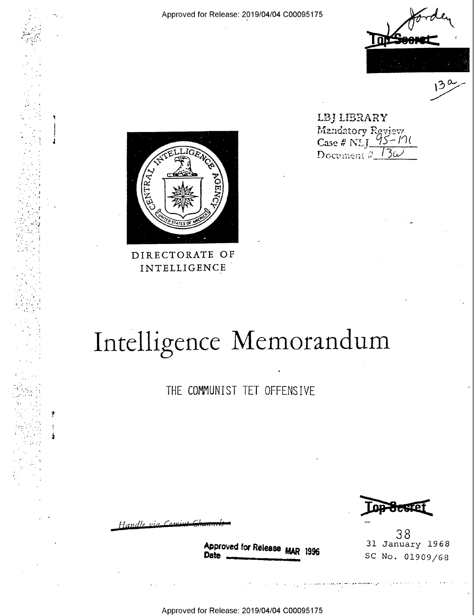

LBJ LIBRARY Mandatory Review Document  $\sqrt[3]{13}\omega$ 



DIRECTORATE OF INTELLIGENCE

## Intelligence Memorandum

THE COMMUNIST TET OFFENSIVE

Handle

Approved for Release MAR 1996

38 31 January 1968 SC No. 01909/68

Approved for Release: 2019/04/04 C00095175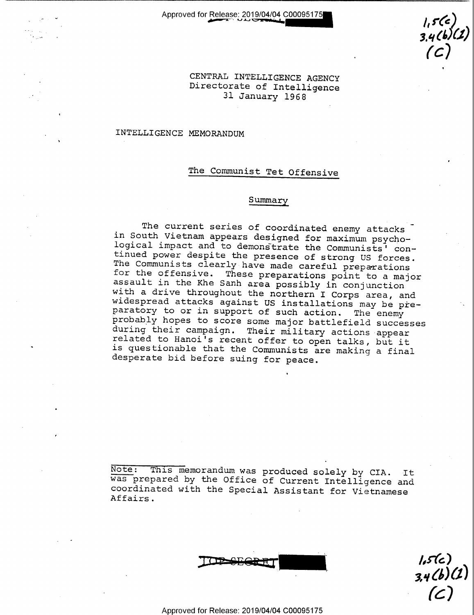$1,5(6)$  $2.76$ C

CENTRAL INTELLIGENCE AGENCY Directorate of Intelligence 31 January 1968

## INTELLIGENCE MEMORANDUM

## The Communist Tet Offensive

## Summary

The current series of coordinated enemy attacks<br>in South Vietnam appears designed for maximum psycho-<br>logical impact and to demonstrate the Communists' con-<br>tinued power despite the presence of strong US forces.<br>The Commun paratory to or in support of such action. The enemy  $\bar{p}$ robably hopes to score some major battlefield successes appear related to Hanoi's recent offer to open talks, but it is questionable that the Communists are making a final

Note: This memorandum was produced solely by CIA. It was prepared by the Office of Current Intelligence and coordinated with the Special Assistant for Vietnamese Affairs.

 $1,5$  (C )  $3,4$ (D)(L) $\parallel$  $(C)$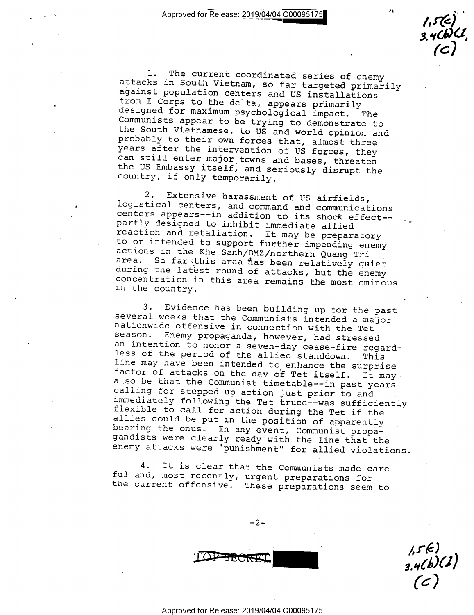$3.40047$  $($   $\mathcal{C}$   $\mathcal{V}$ 

1. The current coordinated series of enemy<br>attacks in South Vietnam, so far targeted primarily<br>against population centers and US installations<br>from I Corps to the delta, appears primarily<br>designed for maximum psychological

2. Extensive harassment of US airfields,<br>logistical centers, and command and communications<br>centers appears--in addition to its shock effect--<br>partly designed to inhibit immediate allied<br>reaction and retaliation. It may be

3. Evidence has been building up for the past<br>several weeks that the Communists intended a major<br>nationwide offensive in connection with the Tet<br>season. Enemy propaganda, however, had stressed<br>an intention to honor a seven immediately following the Tet truce--was sufficiently enemy attacks were "punishment" for allied violations.

4. It is clear that the Communists made care-<br>ful and, most recently, urgent preparations for<br>the current offensive. These preparations seem to

 $-2-$ 

 $3.4(b)(1)$  $\sqrt{5k}$  $($   $\zeta$   $/$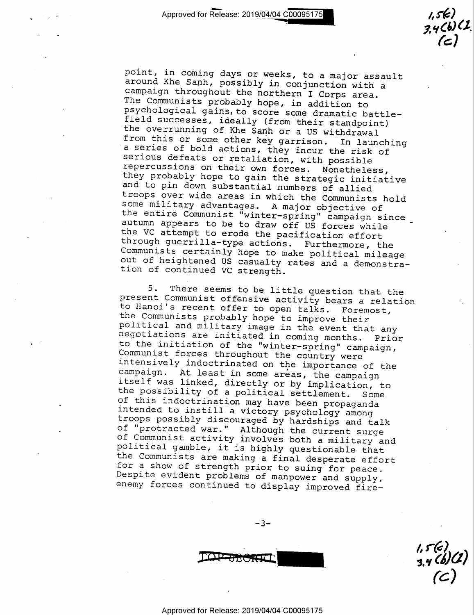"

point, in coming days or weeks, to a major assault<br>around Khe Sanh, possibly in conjunction with a<br>campaign throughout the northern I Corps area.<br>The Communists probably hope, in addition to<br>psychological gains, to score s

5. There seems to be little question that the<br>present Communist offerive activity bears a relation<br>to Hanoi's recent offer to open talks. Foremost,<br>the Communists probably hope to improve their<br>political and military image

 $-3-$ 

 $\frac{1}{2}$  $5,7$ ( 3'3: C

 $3.4$  (b) (L)

 $($  $\epsilon$  $/$